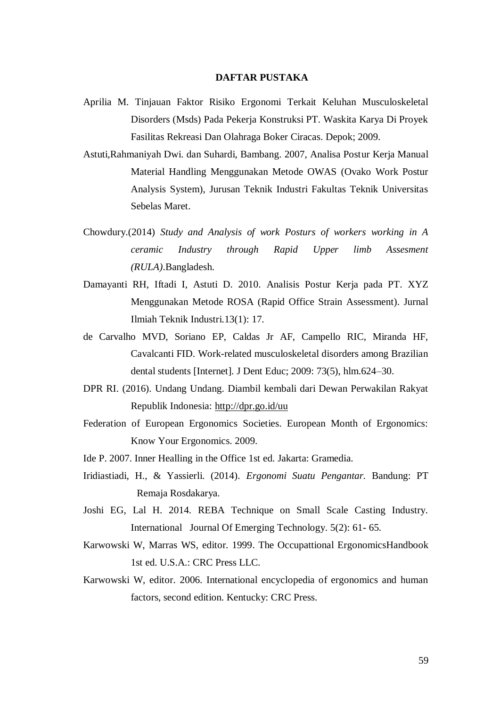## **DAFTAR PUSTAKA**

- Aprilia M. Tinjauan Faktor Risiko Ergonomi Terkait Keluhan Musculoskeletal Disorders (Msds) Pada Pekerja Konstruksi PT. Waskita Karya Di Proyek Fasilitas Rekreasi Dan Olahraga Boker Ciracas. Depok; 2009.
- Astuti,Rahmaniyah Dwi. dan Suhardi, Bambang. 2007, Analisa Postur Kerja Manual Material Handling Menggunakan Metode OWAS (Ovako Work Postur Analysis System), Jurusan Teknik Industri Fakultas Teknik Universitas Sebelas Maret.
- Chowdury.(2014) *Study and Analysis of work Posturs of workers working in A ceramic Industry through Rapid Upper limb Assesment (RULA)*.Bangladesh.
- Damayanti RH, Iftadi I, Astuti D. 2010. Analisis Postur Kerja pada PT. XYZ Menggunakan Metode ROSA (Rapid Office Strain Assessment). Jurnal Ilmiah Teknik Industri.13(1): 17.
- de Carvalho MVD, Soriano EP, Caldas Jr AF, Campello RIC, Miranda HF, Cavalcanti FID. Work-related musculoskeletal disorders among Brazilian dental students [Internet]. J Dent Educ; 2009: 73(5), hlm.624–30.
- DPR RI. (2016). Undang Undang. Diambil kembali dari Dewan Perwakilan Rakyat Republik Indonesia:<http://dpr.go.id/uu>
- Federation of European Ergonomics Societies. European Month of Ergonomics: Know Your Ergonomics. 2009.
- Ide P. 2007. Inner Healling in the Office 1st ed. Jakarta: Gramedia.
- Iridiastiadi, H., & Yassierli. (2014). *Ergonomi Suatu Pengantar.* Bandung: PT Remaja Rosdakarya.
- Joshi EG, Lal H. 2014. REBA Technique on Small Scale Casting Industry. International Journal Of Emerging Technology. 5(2): 61- 65.
- Karwowski W, Marras WS, editor. 1999. The Occupattional ErgonomicsHandbook 1st ed. U.S.A.: CRC Press LLC.
- Karwowski W, editor. 2006. International encyclopedia of ergonomics and human factors, second edition. Kentucky: CRC Press.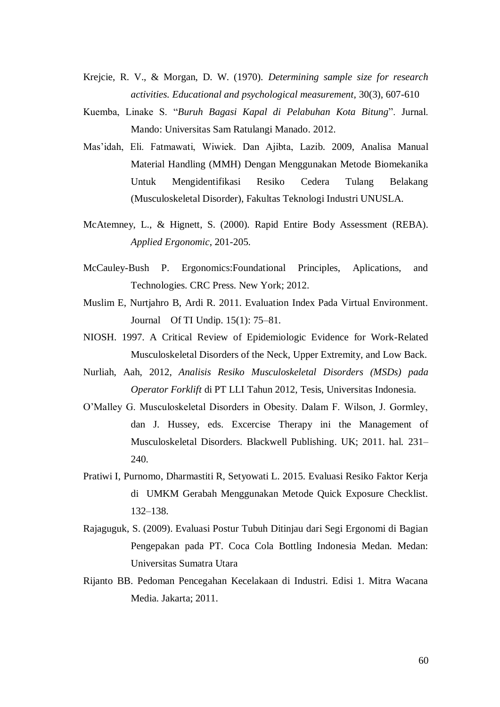- Krejcie, R. V., & Morgan, D. W. (1970). *Determining sample size for research activities. Educational and psychological measurement*, 30(3), 607-610
- Kuemba, Linake S. "*Buruh Bagasi Kapal di Pelabuhan Kota Bitung*". Jurnal. Mando: Universitas Sam Ratulangi Manado. 2012.
- Mas'idah, Eli. Fatmawati, Wiwiek. Dan Ajibta, Lazib. 2009, Analisa Manual Material Handling (MMH) Dengan Menggunakan Metode Biomekanika Untuk Mengidentifikasi Resiko Cedera Tulang Belakang (Musculoskeletal Disorder), Fakultas Teknologi Industri UNUSLA.
- McAtemney, L., & Hignett, S. (2000). Rapid Entire Body Assessment (REBA). *Applied Ergonomic*, 201-205.
- McCauley-Bush P. Ergonomics:Foundational Principles, Aplications, and Technologies. CRC Press. New York; 2012.
- Muslim E, Nurtjahro B, Ardi R. 2011. Evaluation Index Pada Virtual Environment. Journal Of TI Undip. 15(1): 75–81.
- NIOSH. 1997. A Critical Review of Epidemiologic Evidence for Work-Related Musculoskeletal Disorders of the Neck, Upper Extremity, and Low Back.
- Nurliah, Aah, 2012, *Analisis Resiko Musculoskeletal Disorders (MSDs) pada Operator Forklift* di PT LLI Tahun 2012, Tesis, Universitas Indonesia.
- O'Malley G. Musculoskeletal Disorders in Obesity. Dalam F. Wilson, J. Gormley, dan J. Hussey, eds. Excercise Therapy ini the Management of Musculoskeletal Disorders. Blackwell Publishing. UK; 2011. hal. 231– 240.
- Pratiwi I, Purnomo, Dharmastiti R, Setyowati L. 2015. Evaluasi Resiko Faktor Kerja di UMKM Gerabah Menggunakan Metode Quick Exposure Checklist. 132–138.
- Rajaguguk, S. (2009). Evaluasi Postur Tubuh Ditinjau dari Segi Ergonomi di Bagian Pengepakan pada PT. Coca Cola Bottling Indonesia Medan. Medan: Universitas Sumatra Utara
- Rijanto BB. Pedoman Pencegahan Kecelakaan di Industri. Edisi 1. Mitra Wacana Media. Jakarta; 2011.